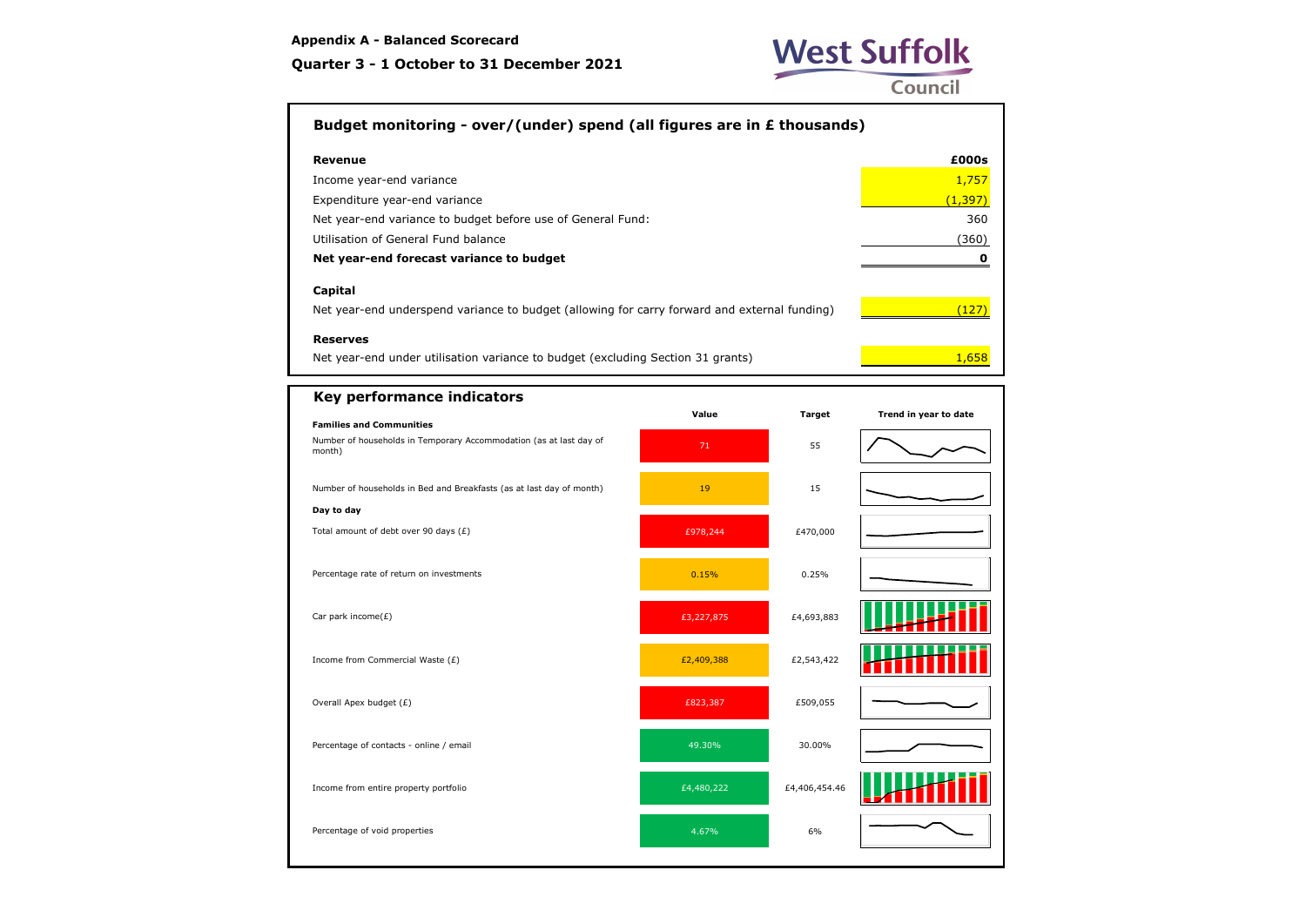### **Quarter 3 - 1 October to 31 December 2021**



## **Budget monitoring - over/(under) spend (all figures are in £ thousands)**

| Revenue                                                     | £000s    |
|-------------------------------------------------------------|----------|
| Income year-end variance                                    | 1,757    |
| Expenditure year-end variance                               | (1, 397) |
| Net year-end variance to budget before use of General Fund: | 360      |
| Utilisation of General Fund balance                         | (360)    |
| Net year-end forecast variance to budget                    |          |
| Capital                                                     |          |
|                                                             |          |

Net year-end underspend variance to budget (allowing for carry forward and external funding)  $\sqrt{127}$ 

#### **Reserves**

Net year-end under utilisation variance to budget (excluding Section 31 grants)  $\frac{1}{2}$  1,658

| Key performance indicators                                                   |            |               |                       |
|------------------------------------------------------------------------------|------------|---------------|-----------------------|
| <b>Families and Communities</b>                                              | Value      | <b>Target</b> | Trend in year to date |
| Number of households in Temporary Accommodation (as at last day of<br>month) | 71         | 55            |                       |
| Number of households in Bed and Breakfasts (as at last day of month)         | 19         | 15            |                       |
| Day to day                                                                   |            |               |                       |
| Total amount of debt over 90 days $(E)$                                      | £978,244   | £470,000      |                       |
| Percentage rate of return on investments                                     | 0.15%      | 0.25%         |                       |
| Car park income(£)                                                           | £3,227,875 | £4,693,883    |                       |
| Income from Commercial Waste $(E)$                                           | £2,409,388 | £2,543,422    |                       |
| Overall Apex budget (£)                                                      | £823,387   | £509,055      |                       |
| Percentage of contacts - online / email                                      | 49.30%     | 30.00%        |                       |
| Income from entire property portfolio                                        | £4,480,222 | £4,406,454.46 |                       |
| Percentage of void properties                                                | 4.67%      | 6%            |                       |
|                                                                              |            |               |                       |